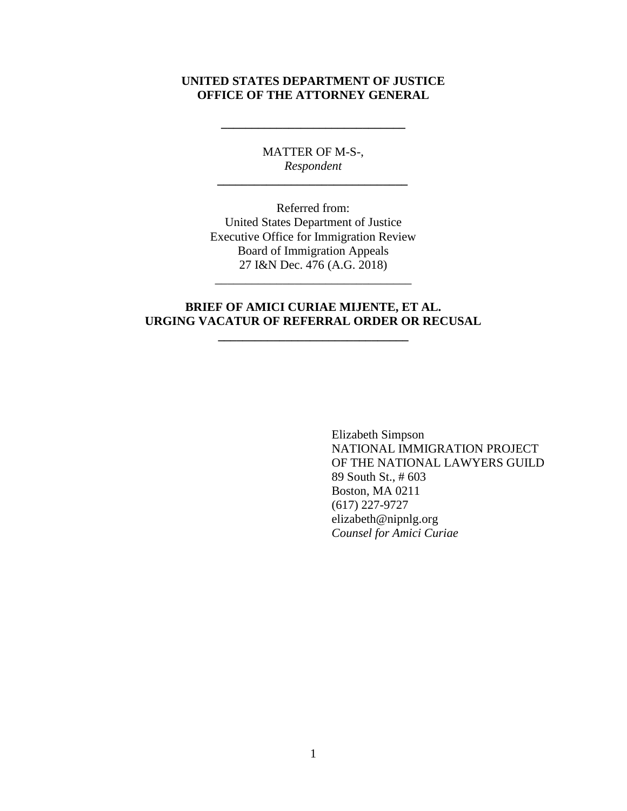# **UNITED STATES DEPARTMENT OF JUSTICE OFFICE OF THE ATTORNEY GENERAL**

**\_\_\_\_\_\_\_\_\_\_\_\_\_\_\_\_\_\_\_\_\_\_\_\_\_\_\_\_\_\_**

MATTER OF M-S-, *Respondent \_\_\_\_\_\_\_\_\_\_\_\_\_\_\_\_\_\_\_\_\_\_\_\_\_\_\_\_\_\_\_*

Referred from: United States Department of Justice Executive Office for Immigration Review Board of Immigration Appeals 27 I&N Dec. 476 (A.G. 2018)

# **BRIEF OF AMICI CURIAE MIJENTE, ET AL. URGING VACATUR OF REFERRAL ORDER OR RECUSAL**

**\_\_\_\_\_\_\_\_\_\_\_\_\_\_\_\_\_\_\_\_\_\_\_\_\_\_\_\_\_\_\_**

\_\_\_\_\_\_\_\_\_\_\_\_\_\_\_\_\_\_\_\_\_\_\_\_\_\_\_\_\_\_\_\_

Elizabeth Simpson NATIONAL IMMIGRATION PROJECT OF THE NATIONAL LAWYERS GUILD 89 South St., # 603 Boston, MA 0211 (617) 227-9727 elizabeth@nipnlg.org *Counsel for Amici Curiae*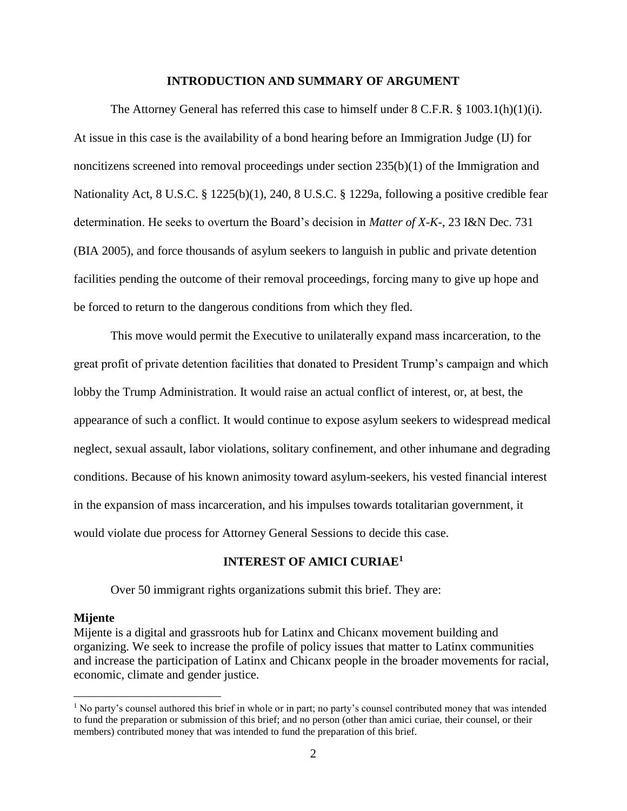#### **INTRODUCTION AND SUMMARY OF ARGUMENT**

The Attorney General has referred this case to himself under  $8 \text{ C.F.R.}$ ,  $8 \frac{1003.1(h)(1)(i)}{i}$ . At issue in this case is the availability of a bond hearing before an Immigration Judge (IJ) for noncitizens screened into removal proceedings under section 235(b)(1) of the Immigration and Nationality Act, 8 U.S.C. § 1225(b)(1), 240, 8 U.S.C. § 1229a, following a positive credible fear determination. He seeks to overturn the Board's decision in *Matter of X-K-*, 23 I&N Dec. 731 (BIA 2005), and force thousands of asylum seekers to languish in public and private detention facilities pending the outcome of their removal proceedings, forcing many to give up hope and be forced to return to the dangerous conditions from which they fled.

This move would permit the Executive to unilaterally expand mass incarceration, to the great profit of private detention facilities that donated to President Trump's campaign and which lobby the Trump Administration. It would raise an actual conflict of interest, or, at best, the appearance of such a conflict. It would continue to expose asylum seekers to widespread medical neglect, sexual assault, labor violations, solitary confinement, and other inhumane and degrading conditions. Because of his known animosity toward asylum-seekers, his vested financial interest in the expansion of mass incarceration, and his impulses towards totalitarian government, it would violate due process for Attorney General Sessions to decide this case.

#### **INTEREST OF AMICI CURIAE<sup>1</sup>**

Over 50 immigrant rights organizations submit this brief. They are:

#### **Mijente**

 $\overline{\phantom{a}}$ 

Mijente is a digital and grassroots hub for Latinx and Chicanx movement building and organizing. We seek to increase the profile of policy issues that matter to Latinx communities and increase the participation of Latinx and Chicanx people in the broader movements for racial, economic, climate and gender justice.

<sup>&</sup>lt;sup>1</sup> No party's counsel authored this brief in whole or in part; no party's counsel contributed money that was intended to fund the preparation or submission of this brief; and no person (other than amici curiae, their counsel, or their members) contributed money that was intended to fund the preparation of this brief.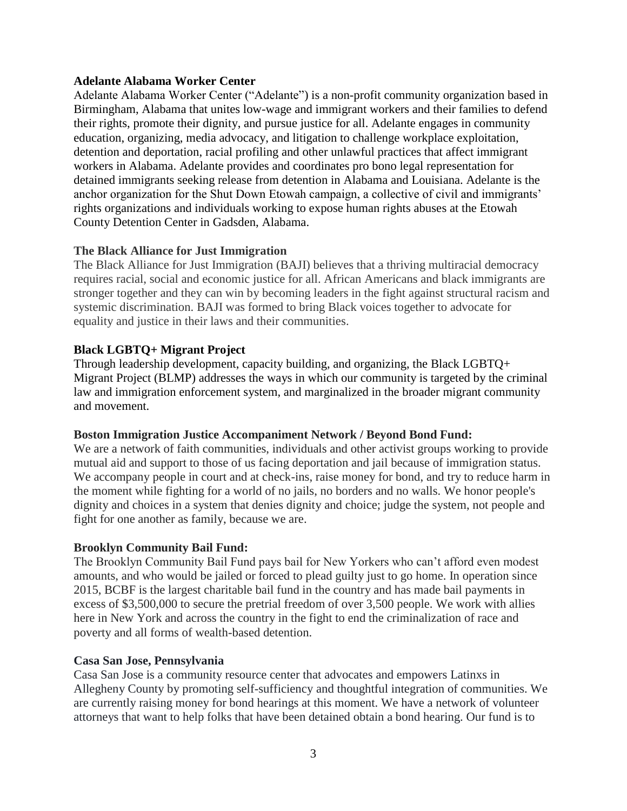### **Adelante Alabama Worker Center**

Adelante Alabama Worker Center ("Adelante") is a non-profit community organization based in Birmingham, Alabama that unites low-wage and immigrant workers and their families to defend their rights, promote their dignity, and pursue justice for all. Adelante engages in community education, organizing, media advocacy, and litigation to challenge workplace exploitation, detention and deportation, racial profiling and other unlawful practices that affect immigrant workers in Alabama. Adelante provides and coordinates pro bono legal representation for detained immigrants seeking release from detention in Alabama and Louisiana. Adelante is the anchor organization for the Shut Down Etowah campaign, a collective of civil and immigrants' rights organizations and individuals working to expose human rights abuses at the Etowah County Detention Center in Gadsden, Alabama.

# **The Black Alliance for Just Immigration**

The Black Alliance for Just Immigration (BAJI) believes that a thriving multiracial democracy requires racial, social and economic justice for all. African Americans and black immigrants are stronger together and they can win by becoming leaders in the fight against structural racism and systemic discrimination. BAJI was formed to bring Black voices together to advocate for equality and justice in their laws and their communities.

# **Black LGBTQ+ Migrant Project**

Through leadership development, capacity building, and organizing, the Black LGBTQ+ Migrant Project (BLMP) addresses the ways in which our community is targeted by the criminal law and immigration enforcement system, and marginalized in the broader migrant community and movement.

### **Boston Immigration Justice Accompaniment Network / Beyond Bond Fund:**

We are a network of faith communities, individuals and other activist groups working to provide mutual aid and support to those of us facing deportation and jail because of immigration status. We accompany people in court and at check-ins, raise money for bond, and try to reduce harm in the moment while fighting for a world of no jails, no borders and no walls. We honor people's dignity and choices in a system that denies dignity and choice; judge the system, not people and fight for one another as family, because we are.

### **Brooklyn Community Bail Fund:**

The Brooklyn Community Bail Fund pays bail for New Yorkers who can't afford even modest amounts, and who would be jailed or forced to plead guilty just to go home. In operation since 2015, BCBF is the largest charitable bail fund in the country and has made bail payments in excess of \$3,500,000 to secure the pretrial freedom of over 3,500 people. We work with allies here in New York and across the country in the fight to end the criminalization of race and poverty and all forms of wealth-based detention.

### **Casa San Jose, Pennsylvania**

Casa San Jose is a community resource center that advocates and empowers Latinxs in Allegheny County by promoting self-sufficiency and thoughtful integration of communities. We are currently raising money for bond hearings at this moment. We have a network of volunteer attorneys that want to help folks that have been detained obtain a bond hearing. Our fund is to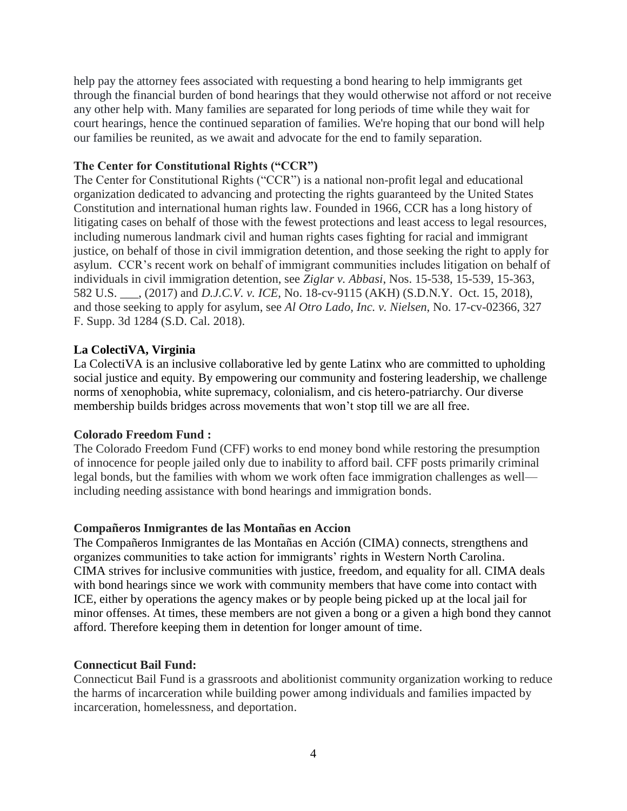help pay the attorney fees associated with requesting a bond hearing to help immigrants get through the financial burden of bond hearings that they would otherwise not afford or not receive any other help with. Many families are separated for long periods of time while they wait for court hearings, hence the continued separation of families. We're hoping that our bond will help our families be reunited, as we await and advocate for the end to family separation.

## **The Center for Constitutional Rights ("CCR")**

The Center for Constitutional Rights ("CCR") is a national non-profit legal and educational organization dedicated to advancing and protecting the rights guaranteed by the United States Constitution and international human rights law. Founded in 1966, CCR has a long history of litigating cases on behalf of those with the fewest protections and least access to legal resources, including numerous landmark civil and human rights cases fighting for racial and immigrant justice, on behalf of those in civil immigration detention, and those seeking the right to apply for asylum. CCR's recent work on behalf of immigrant communities includes litigation on behalf of individuals in civil immigration detention, see *Ziglar v. Abbasi*, Nos. 15-538, 15-539, 15-363, 582 U.S. \_\_\_, (2017) and *D.J.C.V. v. ICE*, No. 18-cv-9115 (AKH) (S.D.N.Y. Oct. 15, 2018), and those seeking to apply for asylum, see *Al Otro Lado, Inc. v. Nielsen*, No. 17-cv-02366, 327 F. Supp. 3d 1284 (S.D. Cal. 2018).

# **La ColectiVA, Virginia**

La ColectiVA is an inclusive collaborative led by gente Latinx who are committed to upholding social justice and equity. By empowering our community and fostering leadership, we challenge norms of xenophobia, white supremacy, colonialism, and cis hetero-patriarchy. Our diverse membership builds bridges across movements that won't stop till we are all free.

### **Colorado Freedom Fund :**

The Colorado Freedom Fund (CFF) works to end money bond while restoring the presumption of innocence for people jailed only due to inability to afford bail. CFF posts primarily criminal legal bonds, but the families with whom we work often face immigration challenges as well including needing assistance with bond hearings and immigration bonds.

### **Compañeros Inmigrantes de las Montañas en Accion**

The Compañeros Inmigrantes de las Montañas en Acción (CIMA) connects, strengthens and organizes communities to take action for immigrants' rights in Western North Carolina. CIMA strives for inclusive communities with justice, freedom, and equality for all. CIMA deals with bond hearings since we work with community members that have come into contact with ICE, either by operations the agency makes or by people being picked up at the local jail for minor offenses. At times, these members are not given a bong or a given a high bond they cannot afford. Therefore keeping them in detention for longer amount of time.

### **Connecticut Bail Fund:**

Connecticut Bail Fund is a grassroots and abolitionist community organization working to reduce the harms of incarceration while building power among individuals and families impacted by incarceration, homelessness, and deportation.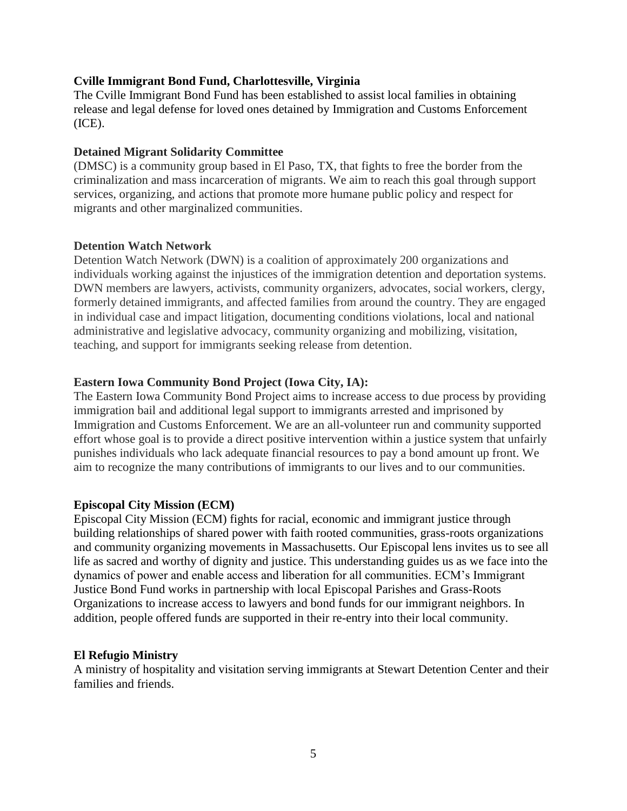### **Cville Immigrant Bond Fund, Charlottesville, Virginia**

The Cville Immigrant Bond Fund has been established to assist local families in obtaining release and legal defense for loved ones detained by Immigration and Customs Enforcement (ICE).

#### **Detained Migrant Solidarity Committee**

(DMSC) is a community group based in El Paso, TX, that fights to free the border from the criminalization and mass incarceration of migrants. We aim to reach this goal through support services, organizing, and actions that promote more humane public policy and respect for migrants and other marginalized communities.

#### **Detention Watch Network**

Detention Watch Network (DWN) is a coalition of approximately 200 organizations and individuals working against the injustices of the immigration detention and deportation systems. DWN members are lawyers, activists, community organizers, advocates, social workers, clergy, formerly detained immigrants, and affected families from around the country. They are engaged in individual case and impact litigation, documenting conditions violations, local and national administrative and legislative advocacy, community organizing and mobilizing, visitation, teaching, and support for immigrants seeking release from detention.

### **Eastern Iowa Community Bond Project (Iowa City, IA):**

The Eastern Iowa Community Bond Project aims to increase access to due process by providing immigration bail and additional legal support to immigrants arrested and imprisoned by Immigration and Customs Enforcement. We are an all-volunteer run and community supported effort whose goal is to provide a direct positive intervention within a justice system that unfairly punishes individuals who lack adequate financial resources to pay a bond amount up front. We aim to recognize the many contributions of immigrants to our lives and to our communities.

### **Episcopal City Mission (ECM)**

Episcopal City Mission (ECM) fights for racial, economic and immigrant justice through building relationships of shared power with faith rooted communities, grass-roots organizations and community organizing movements in Massachusetts. Our Episcopal lens invites us to see all life as sacred and worthy of dignity and justice. This understanding guides us as we face into the dynamics of power and enable access and liberation for all communities. ECM's Immigrant Justice Bond Fund works in partnership with local Episcopal Parishes and Grass-Roots Organizations to increase access to lawyers and bond funds for our immigrant neighbors. In addition, people offered funds are supported in their re-entry into their local community.

#### **El Refugio Ministry**

A ministry of hospitality and visitation serving immigrants at Stewart Detention Center and their families and friends.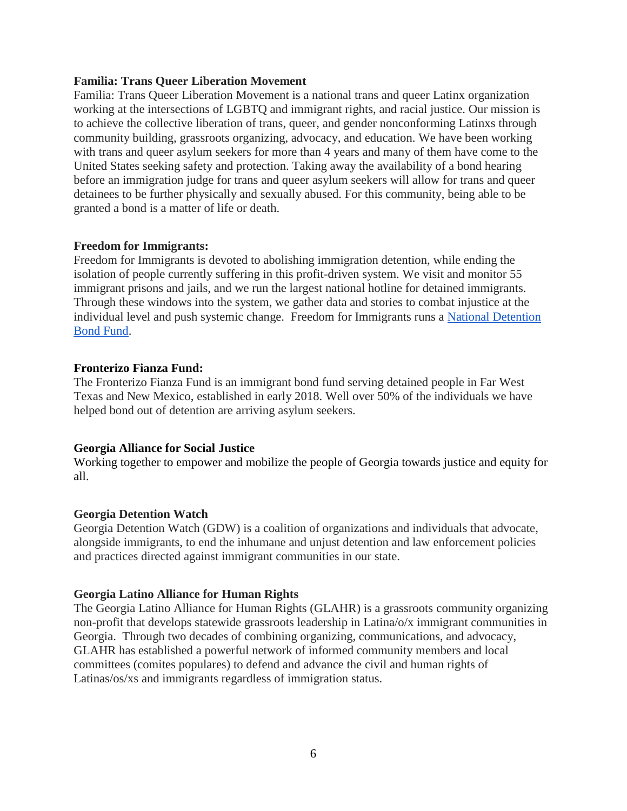#### **Familia: Trans Queer Liberation Movement**

Familia: Trans Queer Liberation Movement is a national trans and queer Latinx organization working at the intersections of LGBTQ and immigrant rights, and racial justice. Our mission is to achieve the collective liberation of trans, queer, and gender nonconforming Latinxs through community building, grassroots organizing, advocacy, and education. We have been working with trans and queer asylum seekers for more than 4 years and many of them have come to the United States seeking safety and protection. Taking away the availability of a bond hearing before an immigration judge for trans and queer asylum seekers will allow for trans and queer detainees to be further physically and sexually abused. For this community, being able to be granted a bond is a matter of life or death.

### **Freedom for Immigrants:**

Freedom for Immigrants is devoted to abolishing immigration detention, while ending the isolation of people currently suffering in this profit-driven system. We visit and monitor 55 immigrant prisons and jails, and we run the largest national hotline for detained immigrants. Through these windows into the system, we gather data and stories to combat injustice at the individual level and push systemic change. Freedom for Immigrants runs a [National Detention](https://www.freedomforimmigrants.org/national-bond-fund)  [Bond Fund.](https://www.freedomforimmigrants.org/national-bond-fund)

### **Fronterizo Fianza Fund:**

The Fronterizo Fianza Fund is an immigrant bond fund serving detained people in Far West Texas and New Mexico, established in early 2018. Well over 50% of the individuals we have helped bond out of detention are arriving asylum seekers.

### **Georgia Alliance for Social Justice**

Working together to empower and mobilize the people of Georgia towards justice and equity for all.

### **Georgia Detention Watch**

Georgia Detention Watch (GDW) is a coalition of organizations and individuals that advocate, alongside immigrants, to end the inhumane and unjust detention and law enforcement policies and practices directed against immigrant communities in our state.

### **Georgia Latino Alliance for Human Rights**

The Georgia Latino Alliance for Human Rights (GLAHR) is a grassroots community organizing non-profit that develops statewide grassroots leadership in Latina/o/x immigrant communities in Georgia. Through two decades of combining organizing, communications, and advocacy, GLAHR has established a powerful network of informed community members and local committees (comites populares) to defend and advance the civil and human rights of Latinas/os/xs and immigrants regardless of immigration status.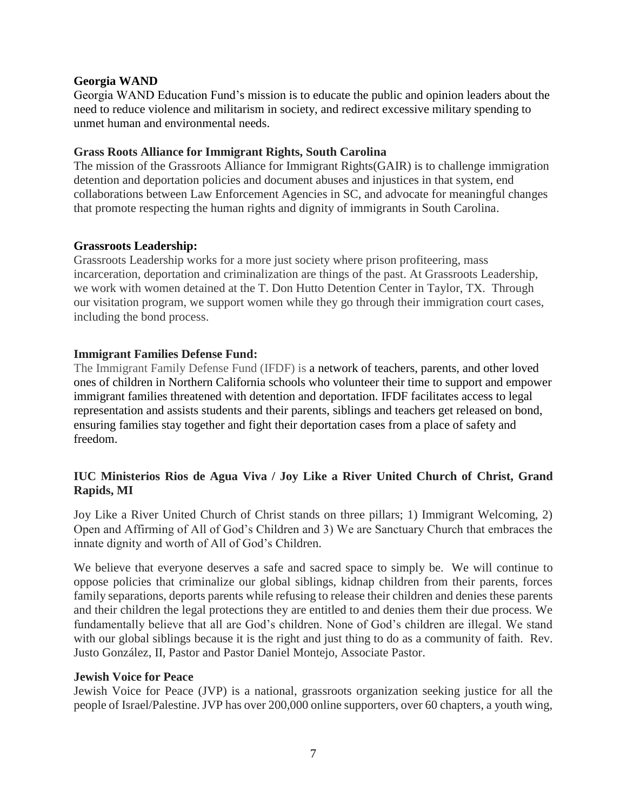### **Georgia WAND**

Georgia WAND Education Fund's mission is to educate the public and opinion leaders about the need to reduce violence and militarism in society, and redirect excessive military spending to unmet human and environmental needs.

# **Grass Roots Alliance for Immigrant Rights, South Carolina**

The mission of the Grassroots Alliance for Immigrant Rights(GAIR) is to challenge immigration detention and deportation policies and document abuses and injustices in that system, end collaborations between Law Enforcement Agencies in SC, and advocate for meaningful changes that promote respecting the human rights and dignity of immigrants in South Carolina.

# **Grassroots Leadership:**

Grassroots Leadership works for a more just society where prison profiteering, mass incarceration, deportation and criminalization are things of the past. At Grassroots Leadership, we work with women detained at the T. Don Hutto Detention Center in Taylor, TX. Through our visitation program, we support women while they go through their immigration court cases, including the bond process.

# **Immigrant Families Defense Fund:**

The Immigrant Family Defense Fund (IFDF) is a network of teachers, parents, and other loved ones of children in Northern California schools who volunteer their time to support and empower immigrant families threatened with detention and deportation. IFDF facilitates access to legal representation and assists students and their parents, siblings and teachers get released on bond, ensuring families stay together and fight their deportation cases from a place of safety and freedom.

# **IUC Ministerios Rios de Agua Viva / Joy Like a River United Church of Christ, Grand Rapids, MI**

Joy Like a River United Church of Christ stands on three pillars; 1) Immigrant Welcoming, 2) Open and Affirming of All of God's Children and 3) We are Sanctuary Church that embraces the innate dignity and worth of All of God's Children.

We believe that everyone deserves a safe and sacred space to simply be. We will continue to oppose policies that criminalize our global siblings, kidnap children from their parents, forces family separations, deports parents while refusing to release their children and denies these parents and their children the legal protections they are entitled to and denies them their due process. We fundamentally believe that all are God's children. None of God's children are illegal. We stand with our global siblings because it is the right and just thing to do as a community of faith. Rev. Justo González, II, Pastor and Pastor Daniel Montejo, Associate Pastor.

### **Jewish Voice for Peace**

Jewish Voice for Peace (JVP) is a national, grassroots organization seeking justice for all the people of Israel/Palestine. JVP has over 200,000 online supporters, over 60 chapters, a youth wing,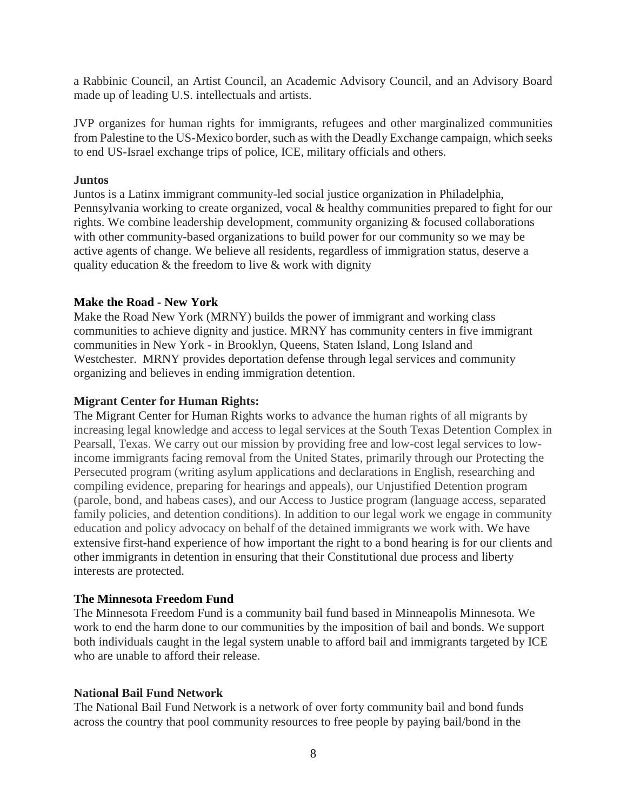a Rabbinic Council, an Artist Council, an Academic Advisory Council, and an Advisory Board made up of leading U.S. intellectuals and artists.

JVP organizes for human rights for immigrants, refugees and other marginalized communities from Palestine to the US-Mexico border, such as with the Deadly Exchange campaign, which seeks to end US-Israel exchange trips of police, ICE, military officials and others.

### **Juntos**

Juntos is a Latinx immigrant community-led social justice organization in Philadelphia, Pennsylvania working to create organized, vocal & healthy communities prepared to fight for our rights. We combine leadership development, community organizing & focused collaborations with other community-based organizations to build power for our community so we may be active agents of change. We believe all residents, regardless of immigration status, deserve a quality education & the freedom to live & work with dignity

# **Make the Road - New York**

Make the Road New York (MRNY) builds the power of immigrant and working class communities to achieve dignity and justice. MRNY has community centers in five immigrant communities in New York - in Brooklyn, Queens, Staten Island, Long Island and Westchester. MRNY provides deportation defense through legal services and community organizing and believes in ending immigration detention.

# **Migrant Center for Human Rights:**

The Migrant Center for Human Rights works to advance the human rights of all migrants by increasing legal knowledge and access to legal services at the South Texas Detention Complex in Pearsall, Texas. We carry out our mission by providing free and low-cost legal services to lowincome immigrants facing removal from the United States, primarily through our Protecting the Persecuted program (writing asylum applications and declarations in English, researching and compiling evidence, preparing for hearings and appeals), our Unjustified Detention program (parole, bond, and habeas cases), and our Access to Justice program (language access, separated family policies, and detention conditions). In addition to our legal work we engage in community education and policy advocacy on behalf of the detained immigrants we work with. We have extensive first-hand experience of how important the right to a bond hearing is for our clients and other immigrants in detention in ensuring that their Constitutional due process and liberty interests are protected.

### **The Minnesota Freedom Fund**

The Minnesota Freedom Fund is a community bail fund based in Minneapolis Minnesota. We work to end the harm done to our communities by the imposition of bail and bonds. We support both individuals caught in the legal system unable to afford bail and immigrants targeted by ICE who are unable to afford their release.

### **National Bail Fund Network**

The National Bail Fund Network is a network of over forty community bail and bond funds across the country that pool community resources to free people by paying bail/bond in the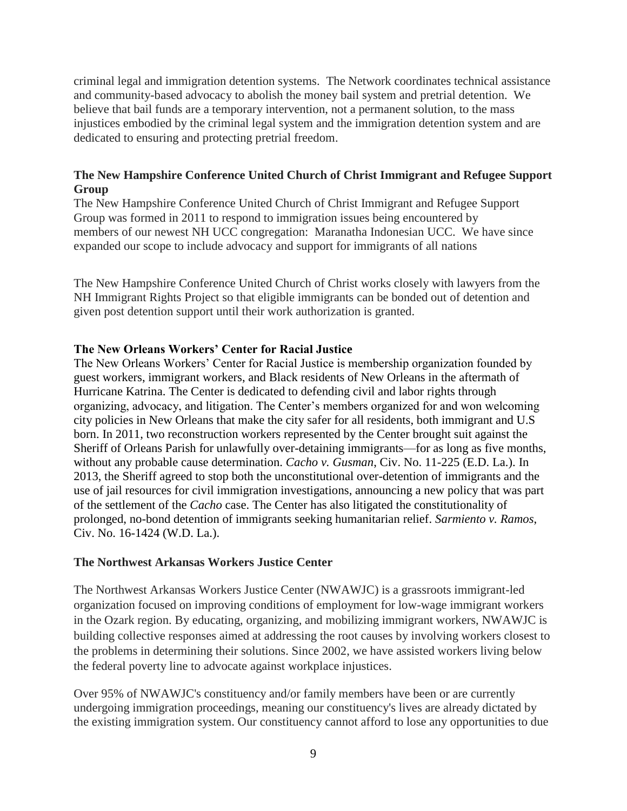criminal legal and immigration detention systems. The Network coordinates technical assistance and community-based advocacy to abolish the money bail system and pretrial detention. We believe that bail funds are a temporary intervention, not a permanent solution, to the mass injustices embodied by the criminal legal system and the immigration detention system and are dedicated to ensuring and protecting pretrial freedom.

# **The New Hampshire Conference United Church of Christ Immigrant and Refugee Support Group**

The New Hampshire Conference United Church of Christ Immigrant and Refugee Support Group was formed in 2011 to respond to immigration issues being encountered by members of our newest NH UCC congregation: Maranatha Indonesian UCC. We have since expanded our scope to include advocacy and support for immigrants of all nations

The New Hampshire Conference United Church of Christ works closely with lawyers from the NH Immigrant Rights Project so that eligible immigrants can be bonded out of detention and given post detention support until their work authorization is granted.

### **The New Orleans Workers' Center for Racial Justice**

The New Orleans Workers' Center for Racial Justice is membership organization founded by guest workers, immigrant workers, and Black residents of New Orleans in the aftermath of Hurricane Katrina. The Center is dedicated to defending civil and labor rights through organizing, advocacy, and litigation. The Center's members organized for and won welcoming city policies in New Orleans that make the city safer for all residents, both immigrant and U.S born. In 2011, two reconstruction workers represented by the Center brought suit against the Sheriff of Orleans Parish for unlawfully over-detaining immigrants—for as long as five months, without any probable cause determination. *Cacho v. Gusman*, Civ. No. 11-225 (E.D. La.). In 2013, the Sheriff agreed to stop both the unconstitutional over-detention of immigrants and the use of jail resources for civil immigration investigations, announcing a new policy that was part of the settlement of the *Cacho* case. The Center has also litigated the constitutionality of prolonged, no-bond detention of immigrants seeking humanitarian relief. *Sarmiento v. Ramos*, Civ. No. 16-1424 (W.D. La.).

### **The Northwest Arkansas Workers Justice Center**

The Northwest Arkansas Workers Justice Center (NWAWJC) is a grassroots immigrant-led organization focused on improving conditions of employment for low-wage immigrant workers in the Ozark region. By educating, organizing, and mobilizing immigrant workers, NWAWJC is building collective responses aimed at addressing the root causes by involving workers closest to the problems in determining their solutions. Since 2002, we have assisted workers living below the federal poverty line to advocate against workplace injustices.

Over 95% of NWAWJC's constituency and/or family members have been or are currently undergoing immigration proceedings, meaning our constituency's lives are already dictated by the existing immigration system. Our constituency cannot afford to lose any opportunities to due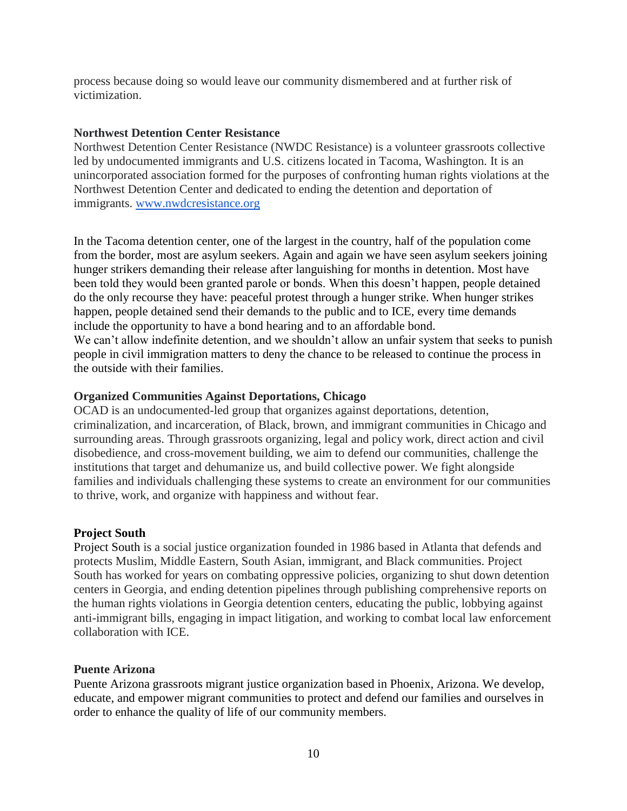process because doing so would leave our community dismembered and at further risk of victimization.

#### **Northwest Detention Center Resistance**

Northwest Detention Center Resistance (NWDC Resistance) is a volunteer grassroots collective led by undocumented immigrants and U.S. citizens located in Tacoma, Washington. It is an unincorporated association formed for the purposes of confronting human rights violations at the Northwest Detention Center and dedicated to ending the detention and deportation of immigrants. [www.nwdcresistance.org](http://www.nwdcresistance.org/)

In the Tacoma detention center, one of the largest in the country, half of the population come from the border, most are asylum seekers. Again and again we have seen asylum seekers joining hunger strikers demanding their release after languishing for months in detention. Most have been told they would been granted parole or bonds. When this doesn't happen, people detained do the only recourse they have: peaceful protest through a hunger strike. When hunger strikes happen, people detained send their demands to the public and to ICE, every time demands include the opportunity to have a bond hearing and to an affordable bond. We can't allow indefinite detention, and we shouldn't allow an unfair system that seeks to punish people in civil immigration matters to deny the chance to be released to continue the process in the outside with their families.

### **Organized Communities Against Deportations, Chicago**

OCAD is an undocumented-led group that organizes against deportations, detention, criminalization, and incarceration, of Black, brown, and immigrant communities in Chicago and surrounding areas. Through grassroots organizing, legal and policy work, direct action and civil disobedience, and cross-movement building, we aim to defend our communities, challenge the institutions that target and dehumanize us, and build collective power. We fight alongside families and individuals challenging these systems to create an environment for our communities to thrive, work, and organize with happiness and without fear.

### **Project South**

Project South is a social justice organization founded in 1986 based in Atlanta that defends and protects Muslim, Middle Eastern, South Asian, immigrant, and Black communities. Project South has worked for years on combating oppressive policies, organizing to shut down detention centers in Georgia, and ending detention pipelines through publishing comprehensive reports on the human rights violations in Georgia detention centers, educating the public, lobbying against anti-immigrant bills, engaging in impact litigation, and working to combat local law enforcement collaboration with ICE.

#### **Puente Arizona**

Puente Arizona grassroots migrant justice organization based in Phoenix, Arizona. We develop, educate, and empower migrant communities to protect and defend our families and ourselves in order to enhance the quality of life of our community members.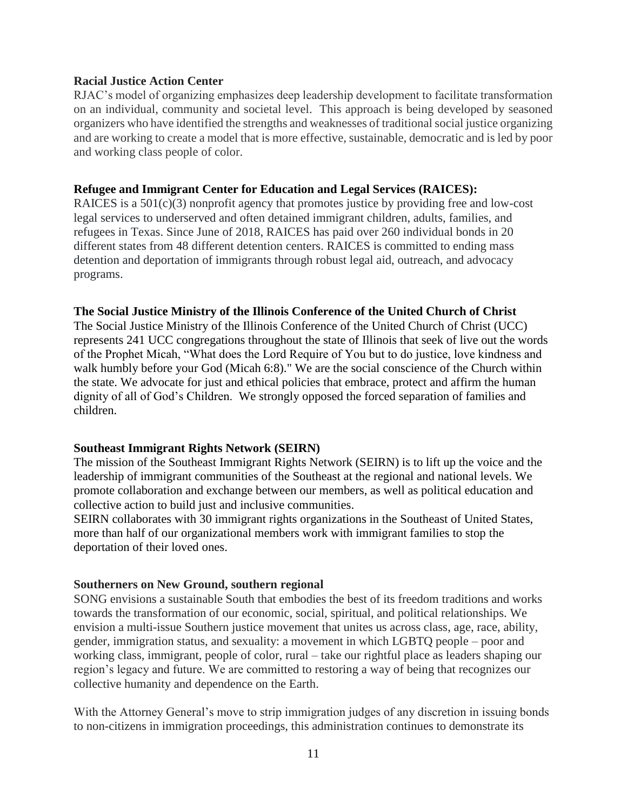#### **Racial Justice Action Center**

RJAC's model of organizing emphasizes deep leadership development to facilitate transformation on an individual, community and societal level. This approach is being developed by seasoned organizers who have identified the strengths and weaknesses of traditional social justice organizing and are working to create a model that is more effective, sustainable, democratic and is led by poor and working class people of color.

#### **Refugee and Immigrant Center for Education and Legal Services (RAICES):**

RAICES is a 501(c)(3) nonprofit agency that promotes justice by providing free and low-cost legal services to underserved and often detained immigrant children, adults, families, and refugees in Texas. Since June of 2018, RAICES has paid over 260 individual bonds in 20 different states from 48 different detention centers. RAICES is committed to ending mass detention and deportation of immigrants through robust legal aid, outreach, and advocacy programs.

#### **The Social Justice Ministry of the Illinois Conference of the United Church of Christ**

The Social Justice Ministry of the Illinois Conference of the United Church of Christ (UCC) represents 241 UCC congregations throughout the state of Illinois that seek of live out the words of the Prophet Micah, "What does the Lord Require of You but to do justice, love kindness and walk humbly before your God (Micah 6:8)." We are the social conscience of the Church within the state. We advocate for just and ethical policies that embrace, protect and affirm the human dignity of all of God's Children. We strongly opposed the forced separation of families and children.

### **Southeast Immigrant Rights Network (SEIRN)**

The mission of the Southeast Immigrant Rights Network (SEIRN) is to lift up the voice and the leadership of immigrant communities of the Southeast at the regional and national levels. We promote collaboration and exchange between our members, as well as political education and collective action to build just and inclusive communities.

SEIRN collaborates with 30 immigrant rights organizations in the Southeast of United States, more than half of our organizational members work with immigrant families to stop the deportation of their loved ones.

#### **Southerners on New Ground, southern regional**

SONG envisions a sustainable South that embodies the best of its freedom traditions and works towards the transformation of our economic, social, spiritual, and political relationships. We envision a multi-issue Southern justice movement that unites us across class, age, race, ability, gender, immigration status, and sexuality: a movement in which LGBTQ people – poor and working class, immigrant, people of color, rural – take our rightful place as leaders shaping our region's legacy and future. We are committed to restoring a way of being that recognizes our collective humanity and dependence on the Earth.

With the Attorney General's move to strip immigration judges of any discretion in issuing bonds to non-citizens in immigration proceedings, this administration continues to demonstrate its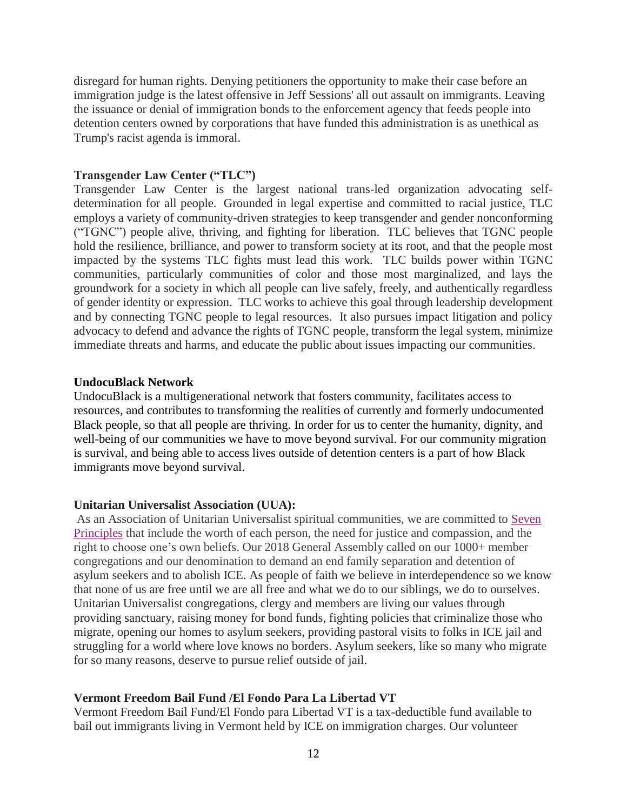disregard for human rights. Denying petitioners the opportunity to make their case before an immigration judge is the latest offensive in Jeff Sessions' all out assault on immigrants. Leaving the issuance or denial of immigration bonds to the enforcement agency that feeds people into detention centers owned by corporations that have funded this administration is as unethical as Trump's racist agenda is immoral.

#### **Transgender Law Center ("TLC")**

Transgender Law Center is the largest national trans-led organization advocating selfdetermination for all people. Grounded in legal expertise and committed to racial justice, TLC employs a variety of community-driven strategies to keep transgender and gender nonconforming ("TGNC") people alive, thriving, and fighting for liberation. TLC believes that TGNC people hold the resilience, brilliance, and power to transform society at its root, and that the people most impacted by the systems TLC fights must lead this work. TLC builds power within TGNC communities, particularly communities of color and those most marginalized, and lays the groundwork for a society in which all people can live safely, freely, and authentically regardless of gender identity or expression. TLC works to achieve this goal through leadership development and by connecting TGNC people to legal resources. It also pursues impact litigation and policy advocacy to defend and advance the rights of TGNC people, transform the legal system, minimize immediate threats and harms, and educate the public about issues impacting our communities.

#### **UndocuBlack Network**

UndocuBlack is a multigenerational network that fosters community, facilitates access to resources, and contributes to transforming the realities of currently and formerly undocumented Black people, so that all people are thriving. In order for us to center the humanity, dignity, and well-being of our communities we have to move beyond survival. For our community migration is survival, and being able to access lives outside of detention centers is a part of how Black immigrants move beyond survival.

#### **Unitarian Universalist Association (UUA):**

As an Association of Unitarian Universalist spiritual communities, we are committed to [Seven](https://www.uua.org/beliefs/what-we-believe/principles)  [Principles](https://www.uua.org/beliefs/what-we-believe/principles) that include the worth of each person, the need for justice and compassion, and the right to choose one's own beliefs. Our 2018 General Assembly called on our 1000+ member congregations and our denomination to demand an end family separation and detention of asylum seekers and to abolish ICE. As people of faith we believe in interdependence so we know that none of us are free until we are all free and what we do to our siblings, we do to ourselves. Unitarian Universalist congregations, clergy and members are living our values through providing sanctuary, raising money for bond funds, fighting policies that criminalize those who migrate, opening our homes to asylum seekers, providing pastoral visits to folks in ICE jail and struggling for a world where love knows no borders. Asylum seekers, like so many who migrate for so many reasons, deserve to pursue relief outside of jail.

### **Vermont Freedom Bail Fund /El Fondo Para La Libertad VT**

Vermont Freedom Bail Fund/El Fondo para Libertad VT is a tax-deductible fund available to bail out immigrants living in Vermont held by ICE on immigration charges. Our volunteer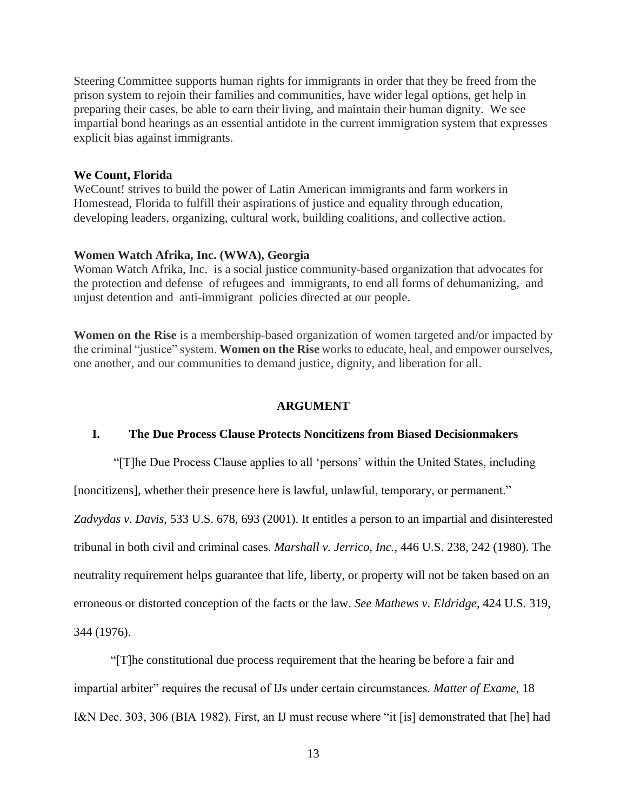Steering Committee supports human rights for immigrants in order that they be freed from the prison system to rejoin their families and communities, have wider legal options, get help in preparing their cases, be able to earn their living, and maintain their human dignity. We see impartial bond hearings as an essential antidote in the current immigration system that expresses explicit bias against immigrants.

#### **We Count, Florida**

WeCount! strives to build the power of Latin American immigrants and farm workers in Homestead, Florida to fulfill their aspirations of justice and equality through education, developing leaders, organizing, cultural work, building coalitions, and collective action.

#### **Women Watch Afrika, Inc. (WWA), Georgia**

Woman Watch Afrika, Inc. is a social justice community-based organization that advocates for the protection and defense of refugees and immigrants, to end all forms of dehumanizing, and unjust detention and anti-immigrant policies directed at our people.

**Women on the Rise** is a membership-based organization of women targeted and/or impacted by the criminal "justice" system. **Women on the Rise** works to educate, heal, and empower ourselves, one another, and our communities to demand justice, dignity, and liberation for all.

#### **ARGUMENT**

#### **I. The Due Process Clause Protects Noncitizens from Biased Decisionmakers**

"[T]he Due Process Clause applies to all 'persons' within the United States, including [noncitizens], whether their presence here is lawful, unlawful, temporary, or permanent."

*Zadvydas v. Davis*, 533 U.S. 678, 693 (2001). It entitles a person to an impartial and disinterested tribunal in both civil and criminal cases. *Marshall v. Jerrico, Inc.*, 446 U.S. 238, 242 (1980). The neutrality requirement helps guarantee that life, liberty, or property will not be taken based on an erroneous or distorted conception of the facts or the law. *See Mathews v. Eldridge*, 424 U.S. 319, 344 (1976).

"[T]he constitutional due process requirement that the hearing be before a fair and impartial arbiter" requires the recusal of IJs under certain circumstances. *Matter of Exame*, 18 I&N Dec. 303, 306 (BIA 1982). First, an IJ must recuse where "it [is] demonstrated that [he] had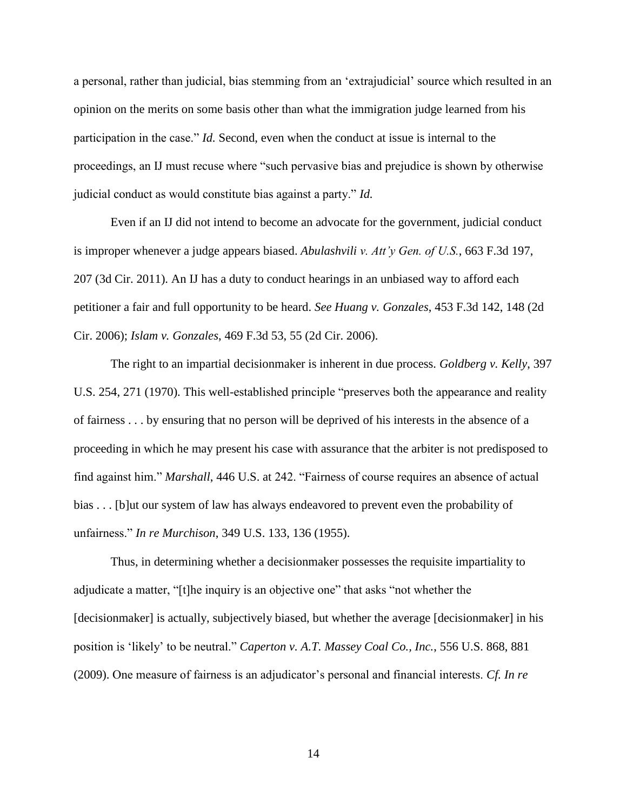a personal, rather than judicial, bias stemming from an 'extrajudicial' source which resulted in an opinion on the merits on some basis other than what the immigration judge learned from his participation in the case." *Id.* Second, even when the conduct at issue is internal to the proceedings, an IJ must recuse where "such pervasive bias and prejudice is shown by otherwise judicial conduct as would constitute bias against a party." *Id.*

Even if an IJ did not intend to become an advocate for the government, judicial conduct is improper whenever a judge appears biased. *Abulashvili v. Att'y Gen. of U.S.*, 663 F.3d 197, 207 (3d Cir. 2011). An IJ has a duty to conduct hearings in an unbiased way to afford each petitioner a fair and full opportunity to be heard. *See Huang v. Gonzales*, 453 F.3d 142, 148 (2d Cir. 2006); *Islam v. Gonzales*, 469 F.3d 53, 55 (2d Cir. 2006).

The right to an impartial decisionmaker is inherent in due process. *Goldberg v. Kelly*, 397 U.S. 254, 271 (1970). This well-established principle "preserves both the appearance and reality of fairness . . . by ensuring that no person will be deprived of his interests in the absence of a proceeding in which he may present his case with assurance that the arbiter is not predisposed to find against him." *Marshall*, 446 U.S. at 242. "Fairness of course requires an absence of actual bias . . . [b]ut our system of law has always endeavored to prevent even the probability of unfairness." *In re Murchison*, 349 U.S. 133, 136 (1955).

Thus, in determining whether a decisionmaker possesses the requisite impartiality to adjudicate a matter, "[t]he inquiry is an objective one" that asks "not whether the [decisionmaker] is actually, subjectively biased, but whether the average [decisionmaker] in his position is 'likely' to be neutral." *Caperton v. A.T. Massey Coal Co., Inc.*, 556 U.S. 868, 881 (2009). One measure of fairness is an adjudicator's personal and financial interests. *Cf. In re* 

14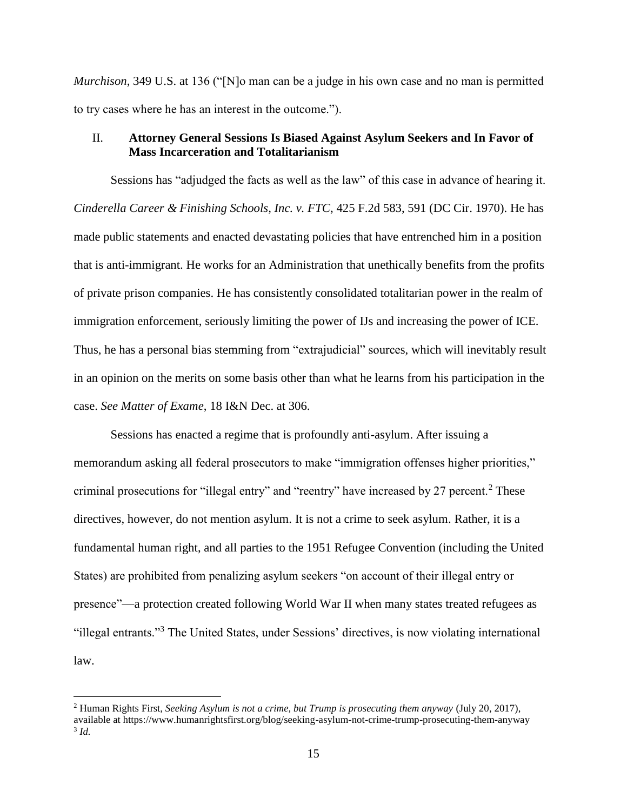*Murchison*, 349 U.S. at 136 ("[N]o man can be a judge in his own case and no man is permitted to try cases where he has an interest in the outcome.").

#### II. **Attorney General Sessions Is Biased Against Asylum Seekers and In Favor of Mass Incarceration and Totalitarianism**

Sessions has "adjudged the facts as well as the law" of this case in advance of hearing it. *Cinderella Career & Finishing Schools, Inc. v. FTC*, 425 F.2d 583, 591 (DC Cir. 1970). He has made public statements and enacted devastating policies that have entrenched him in a position that is anti-immigrant. He works for an Administration that unethically benefits from the profits of private prison companies. He has consistently consolidated totalitarian power in the realm of immigration enforcement, seriously limiting the power of IJs and increasing the power of ICE. Thus, he has a personal bias stemming from "extrajudicial" sources, which will inevitably result in an opinion on the merits on some basis other than what he learns from his participation in the case. *See Matter of Exame*, 18 I&N Dec. at 306.

Sessions has enacted a regime that is profoundly anti-asylum. After issuing a memorandum asking all federal prosecutors to make "immigration offenses higher priorities," criminal prosecutions for "illegal entry" and "reentry" have increased by 27 percent.<sup>2</sup> These directives, however, do not mention asylum. It is not a crime to seek asylum. Rather, it is a fundamental human right, and all parties to the 1951 Refugee Convention (including the United States) are prohibited from penalizing asylum seekers "on account of their illegal entry or presence"—a protection created following World War II when many states treated refugees as "illegal entrants."<sup>3</sup> The United States, under Sessions' directives, is now violating international law.

 $\overline{\phantom{a}}$ 

<sup>2</sup> Human Rights First, *Seeking Asylum is not a crime, but Trump is prosecuting them anyway* (July 20, 2017), available at https://www.humanrightsfirst.org/blog/seeking-asylum-not-crime-trump-prosecuting-them-anyway 3 *Id.*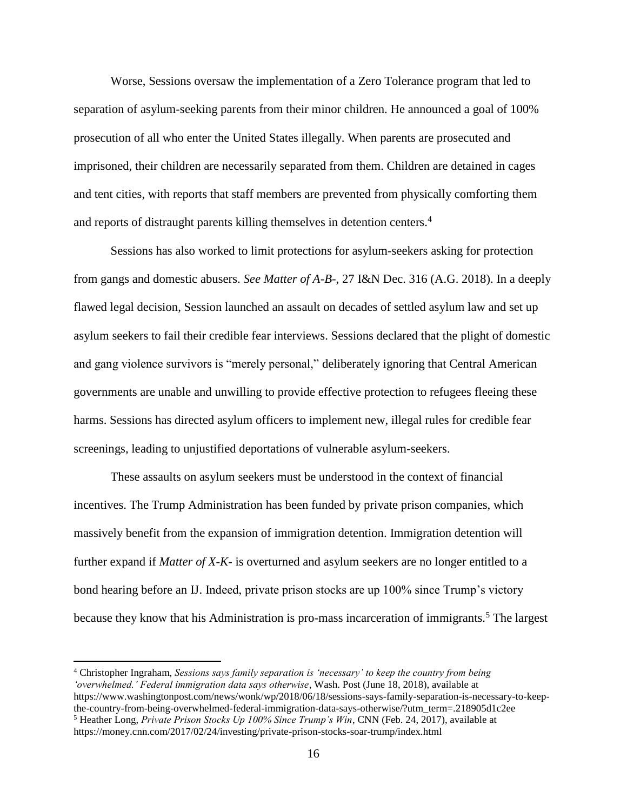Worse, Sessions oversaw the implementation of a Zero Tolerance program that led to separation of asylum-seeking parents from their minor children. He announced a goal of 100% prosecution of all who enter the United States illegally. When parents are prosecuted and imprisoned, their children are necessarily separated from them. Children are detained in cages and tent cities, with reports that staff members are prevented from physically comforting them and reports of distraught parents killing themselves in detention centers.<sup>4</sup>

Sessions has also worked to limit protections for asylum-seekers asking for protection from gangs and domestic abusers. *See Matter of A-B-*, 27 I&N Dec. 316 (A.G. 2018). In a deeply flawed legal decision, Session launched an assault on decades of settled asylum law and set up asylum seekers to fail their credible fear interviews. Sessions declared that the plight of domestic and gang violence survivors is "merely personal," deliberately ignoring that Central American governments are unable and unwilling to provide effective protection to refugees fleeing these harms. Sessions has directed asylum officers to implement new, illegal rules for credible fear screenings, leading to unjustified deportations of vulnerable asylum-seekers.

These assaults on asylum seekers must be understood in the context of financial incentives. The Trump Administration has been funded by private prison companies, which massively benefit from the expansion of immigration detention. Immigration detention will further expand if *Matter of X-K-* is overturned and asylum seekers are no longer entitled to a bond hearing before an IJ. Indeed, private prison stocks are up 100% since Trump's victory because they know that his Administration is pro-mass incarceration of immigrants.<sup>5</sup> The largest

 $\overline{\phantom{a}}$ 

<sup>4</sup> Christopher Ingraham, *Sessions says family separation is 'necessary' to keep the country from being 'overwhelmed.' Federal immigration data says otherwise*, Wash. Post (June 18, 2018), available at https://www.washingtonpost.com/news/wonk/wp/2018/06/18/sessions-says-family-separation-is-necessary-to-keepthe-country-from-being-overwhelmed-federal-immigration-data-says-otherwise/?utm\_term=.218905d1c2ee <sup>5</sup> Heather Long, *Private Prison Stocks Up 100% Since Trump's Win*, CNN (Feb. 24, 2017), available at https://money.cnn.com/2017/02/24/investing/private-prison-stocks-soar-trump/index.html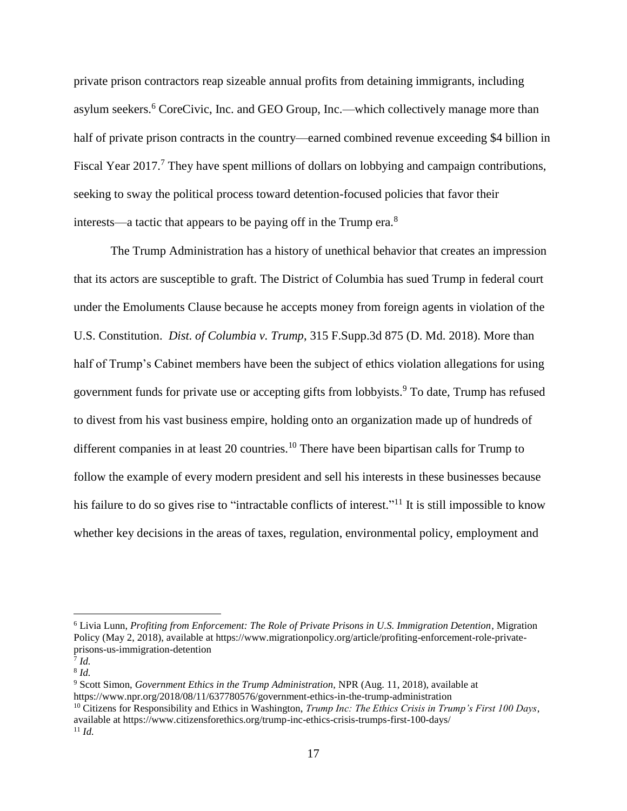private prison contractors reap sizeable annual profits from detaining immigrants, including asylum seekers.<sup>6</sup> CoreCivic, Inc. and GEO Group, Inc.—which collectively manage more than half of private prison contracts in the country—earned combined revenue exceeding \$4 billion in Fiscal Year 2017.<sup>7</sup> They have spent millions of dollars on lobbying and campaign contributions, seeking to sway the political process toward detention-focused policies that favor their interests—a tactic that appears to be paying off in the Trump era.<sup>8</sup>

The Trump Administration has a history of unethical behavior that creates an impression that its actors are susceptible to graft. The District of Columbia has sued Trump in federal court under the Emoluments Clause because he accepts money from foreign agents in violation of the U.S. Constitution. *Dist. of Columbia v. Trump*, 315 F.Supp.3d 875 (D. Md. 2018). More than half of Trump's Cabinet members have been the subject of ethics violation allegations for using government funds for private use or accepting gifts from lobbyists.<sup>9</sup> To date, Trump has refused to divest from his vast business empire, holding onto an organization made up of hundreds of different companies in at least 20 countries.<sup>10</sup> There have been bipartisan calls for Trump to follow the example of every modern president and sell his interests in these businesses because his failure to do so gives rise to "intractable conflicts of interest."<sup>11</sup> It is still impossible to know whether key decisions in the areas of taxes, regulation, environmental policy, employment and

 $\overline{\phantom{a}}$ 

<sup>6</sup> Livia Lunn, *Profiting from Enforcement: The Role of Private Prisons in U.S. Immigration Detention*, Migration Policy (May 2, 2018), available at https://www.migrationpolicy.org/article/profiting-enforcement-role-privateprisons-us-immigration-detention

<sup>7</sup> *Id.* 

<sup>8</sup> *Id.* 

<sup>9</sup> Scott Simon, *Government Ethics in the Trump Administration,* NPR (Aug. 11, 2018), available at https://www.npr.org/2018/08/11/637780576/government-ethics-in-the-trump-administration

<sup>10</sup> Citizens for Responsibility and Ethics in Washington, *Trump Inc: The Ethics Crisis in Trump's First 100 Days*, available at https://www.citizensforethics.org/trump-inc-ethics-crisis-trumps-first-100-days/  $11$  *Id.*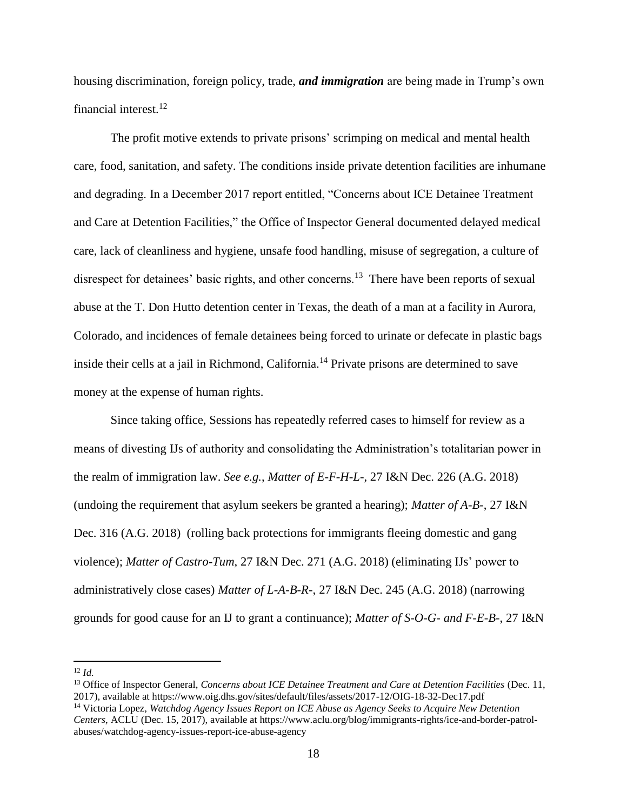housing discrimination, foreign policy, trade, *and immigration* are being made in Trump's own financial interest.<sup>12</sup>

The profit motive extends to private prisons' scrimping on medical and mental health care, food, sanitation, and safety. The conditions inside private detention facilities are inhumane and degrading. In a December 2017 report entitled, "Concerns about ICE Detainee Treatment and Care at Detention Facilities," the Office of Inspector General documented delayed medical care, lack of cleanliness and hygiene, unsafe food handling, misuse of segregation, a culture of disrespect for detainees' basic rights, and other concerns.<sup>13</sup> There have been reports of sexual abuse at the T. Don Hutto detention center in Texas, the death of a man at a facility in Aurora, Colorado, and incidences of female detainees being forced to urinate or defecate in plastic bags inside their cells at a jail in Richmond, California.<sup>14</sup> Private prisons are determined to save money at the expense of human rights.

Since taking office, Sessions has repeatedly referred cases to himself for review as a means of divesting IJs of authority and consolidating the Administration's totalitarian power in the realm of immigration law. *See e.g.*, *Matter of E-F-H-L-*, 27 I&N Dec. 226 (A.G. 2018) (undoing the requirement that asylum seekers be granted a hearing); *Matter of A-B-*, 27 I&N Dec. 316 (A.G. 2018) (rolling back protections for immigrants fleeing domestic and gang violence); *Matter of Castro-Tum*, 27 I&N Dec. 271 (A.G. 2018) (eliminating IJs' power to administratively close cases) *Matter of L-A-B-R-*, 27 I&N Dec. 245 (A.G. 2018) (narrowing grounds for good cause for an IJ to grant a continuance); *Matter of S-O-G- and F-E-B-*, 27 I&N

<sup>12</sup> *Id.* 

 $\overline{\phantom{a}}$ 

<sup>13</sup> Office of Inspector General, *Concerns about ICE Detainee Treatment and Care at Detention Facilities* (Dec. 11, 2017), available at https://www.oig.dhs.gov/sites/default/files/assets/2017-12/OIG-18-32-Dec17.pdf

<sup>14</sup> Victoria Lopez, *Watchdog Agency Issues Report on ICE Abuse as Agency Seeks to Acquire New Detention Centers*, ACLU (Dec. 15, 2017), available at https://www.aclu.org/blog/immigrants-rights/ice-and-border-patrolabuses/watchdog-agency-issues-report-ice-abuse-agency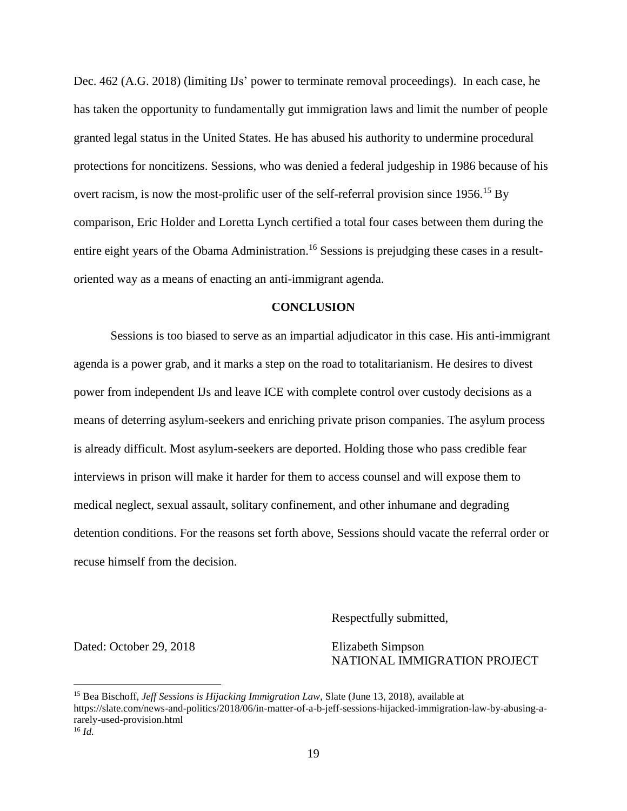Dec. 462 (A.G. 2018) (limiting IJs' power to terminate removal proceedings). In each case, he has taken the opportunity to fundamentally gut immigration laws and limit the number of people granted legal status in the United States. He has abused his authority to undermine procedural protections for noncitizens. Sessions, who was denied a federal judgeship in 1986 because of his overt racism, is now the most-prolific user of the self-referral provision since 1956.<sup>15</sup> By comparison, Eric Holder and Loretta Lynch certified a total four cases between them during the entire eight years of the Obama Administration.<sup>16</sup> Sessions is prejudging these cases in a resultoriented way as a means of enacting an anti-immigrant agenda.

#### **CONCLUSION**

Sessions is too biased to serve as an impartial adjudicator in this case. His anti-immigrant agenda is a power grab, and it marks a step on the road to totalitarianism. He desires to divest power from independent IJs and leave ICE with complete control over custody decisions as a means of deterring asylum-seekers and enriching private prison companies. The asylum process is already difficult. Most asylum-seekers are deported. Holding those who pass credible fear interviews in prison will make it harder for them to access counsel and will expose them to medical neglect, sexual assault, solitary confinement, and other inhumane and degrading detention conditions. For the reasons set forth above, Sessions should vacate the referral order or recuse himself from the decision.

Respectfully submitted,

Dated: October 29, 2018 Elizabeth Simpson

 $\overline{a}$ 

NATIONAL IMMIGRATION PROJECT

<sup>15</sup> Bea Bischoff, *Jeff Sessions is Hijacking Immigration Law*, Slate (June 13, 2018), available at https://slate.com/news-and-politics/2018/06/in-matter-of-a-b-jeff-sessions-hijacked-immigration-law-by-abusing-ararely-used-provision.html  $^{16}$  *Id.*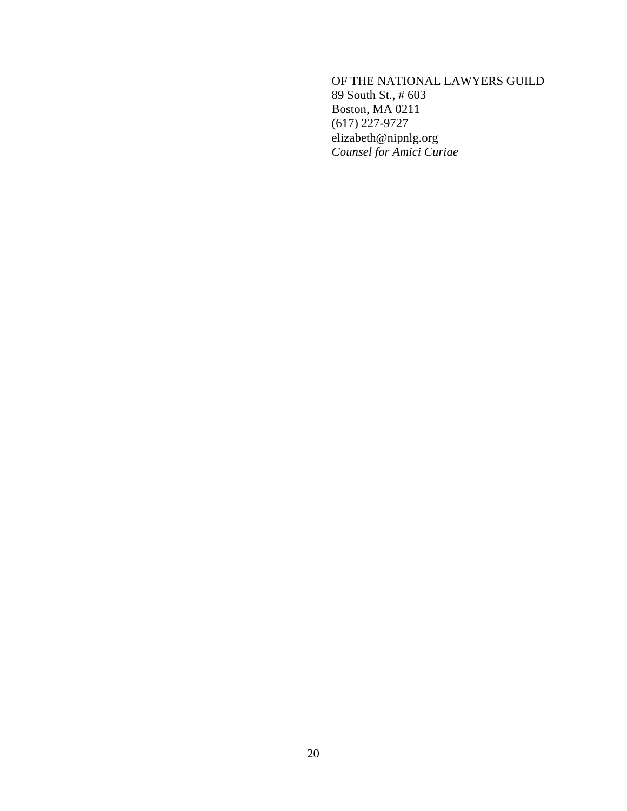OF THE NATIONAL LAWYERS GUILD 89 South St., # 603 Boston, MA 0211 (617) 227-9727 elizabeth@nipnlg.org *Counsel for Amici Curiae*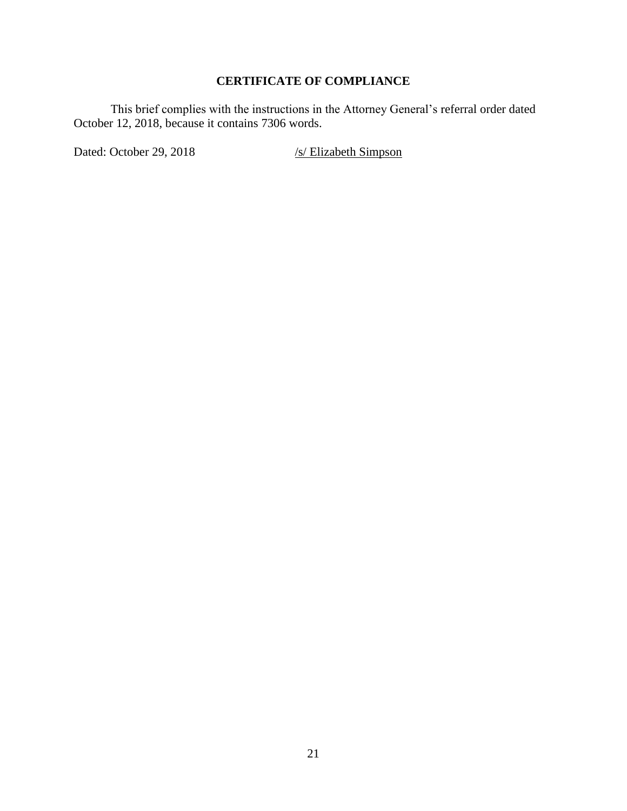# **CERTIFICATE OF COMPLIANCE**

This brief complies with the instructions in the Attorney General's referral order dated October 12, 2018, because it contains 7306 words.

Dated: October 29, 2018 /s/ Elizabeth Simpson